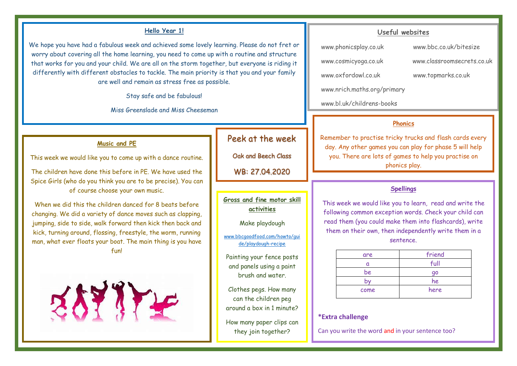#### **Hello Year 1!**

We hope you have had a fabulous week and achieved some lovely learning. Please do not fret or worry about covering all the home learning, you need to come up with a routine and structure that works for you and your child. We are all on the storm together, but everyone is riding it differently with different obstacles to tackle. The main priority is that you and your family are well and remain as stress free as possible.

Stay safe and be fabulous!

Miss Greenslade and Miss Cheeseman

### **Music and PE**

This week we would like you to come up with a dance routine.

The children have done this before in PE. We have used the Spice Girls (who do you think you are to be precise). You can of course choose your own music.

When we did this the children danced for 8 beats before changing. We did a variety of dance moves such as clapping, jumping, side to side, walk forward then kick then back and kick, turning around, flossing, freestyle, the worm, running man, what ever floats your boat. The main thing is you have fun!



# Peek at the week

Oak and Beech Class WB: 27.04.2020

**Gross and fine motor skill activities**

Make playdough

www.bbcgoodfood.com/howto/gui de/playdough-recipe

Painting your fence posts and panels using a paint brush and water.

Clothes pegs. How many can the children peg around a box in 1 minute?

How many paper clips can they join together?

#### **Useful websites**

www.phonicsplay.co.uk www.bbc.co.uk/bitesize

www.cosmicyoga.co.uk www.classroomsecrets.co.uk

www.oxfordowl.co.uk www.topmarks.co.uk

www.nrich.maths.org/primary

www.bl.uk/childrens-books

#### **Phonics**

Remember to practise tricky trucks and flash cards every day. Any other games you can play for phase 5 will help you. There are lots of games to help you practise on phonics play.

#### **Spellings**

This week we would like you to learn, read and write the following common exception words. Check your child can read them (you could make them into flashcards), write them on their own, then independently write them in a sentence.

| are  | friend |
|------|--------|
|      | full   |
| be   | qo     |
| D'   | he     |
| come | here   |

#### **\*Extra challenge**

Can you write the word and in your sentence too?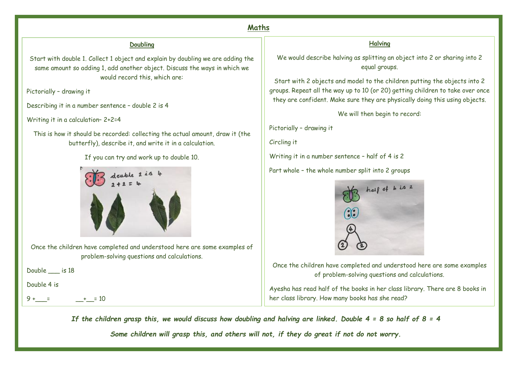# **Maths**

#### **Doubling**

Start with double 1. Collect 1 object and explain by doubling we are adding the same amount so adding 1, add another object. Discuss the ways in which we would record this, which are:

Pictorially – drawing it

Describing it in a number sentence – double 2 is 4

Writing it in a calculation– 2+2=4

This is how it should be recorded: collecting the actual amount, draw it (the butterfly), describe it, and write it in a calculation.

#### If you can try and work up to double 10.



Once the children have completed and understood here are some examples of problem-solving questions and calculations.

Double is 18

Double 4 is

 $9 + \frac{1}{2} + \frac{10}{2}$ 

## **Halving**

We would describe halving as splitting an object into 2 or sharing into 2 equal groups.

Start with 2 objects and model to the children putting the objects into 2 groups. Repeat all the way up to 10 (or 20) getting children to take over once they are confident. Make sure they are physically doing this using objects.

We will then begin to record:

Pictorially – drawing it

Circling it

Writing it in a number sentence – half of 4 is 2

Part whole – the whole number split into 2 groups



Once the children have completed and understood here are some examples of problem-solving questions and calculations.

Ayesha has read half of the books in her class library. There are 8 books in her class library. How many books has she read?

I have 6 strawberries, have I doubled 2? True or false *If the children grasp this, we would discuss how doubling and halving are linked. Double 4 = 8 so half of 8 = 4*

*Some children will grasp this, and others will not, if they do great if not do not worry.*